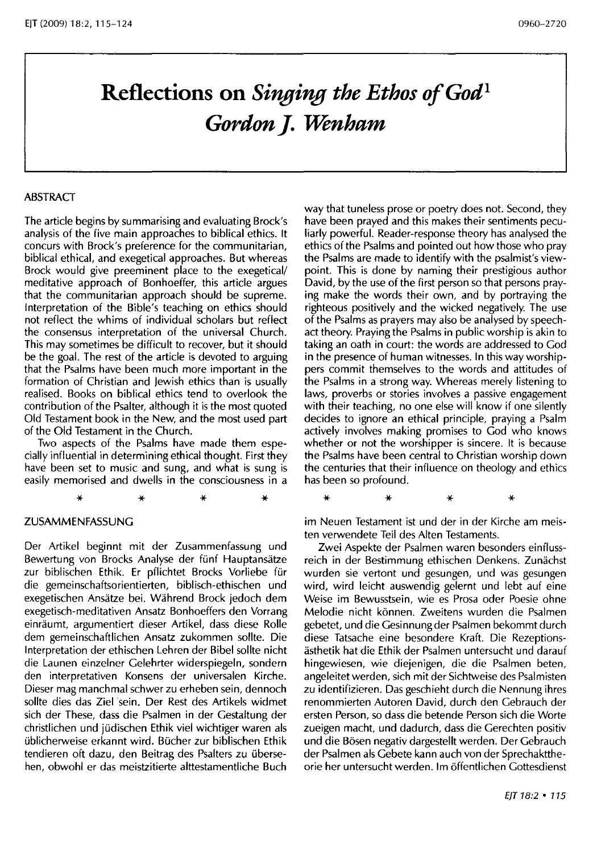# Reflections on *Singing the Ethos of God*<sup>1</sup> Gordon *J. Wenham*

#### ABSTRACT

The article begins by summarising and evaluating Brock's analysis of the five main approaches to biblical ethics. lt concurs with Brock's preference for the communitarian, biblical ethical, and exegetical approaches. But whereas Brock would give preeminent place to the exegetical/ meditative approach of Bonhoeffer, this article argues that the communitarian approach should be supreme. Interpretation of the Bible's teaching on ethics should not reflect the whims of individual scholars but reflect the consensus interpretation of the universal Church. This may sometimes be difficult to recover, but it should be the goal. The rest of the article is devoted to arguing that the Psalms have been much more important in the formation of Christian and Jewish ethics than is usually realised. Books on biblical ethics tend to overlook the contribution of the Psalter, although it is the most quoted Old Testament book in the New, and the most used part of the Old Testament in the Church.

Two aspects of the Psalms have made them especially influential in determining ethical thought. First they have been set to music and sung, and what is sung is easily memorised and dwells in the consciousness in a

\* \* \* \*

### ZUSAMMENFASSUNG

Der Artikel beginnt mit der Zusammenfassung und Bewertung von Brocks Analyse der fünf Hauptansätze zur biblischen Ethik. Er pflichtet Brocks Vorliebe für die gemeinschaftsorientierten, biblisch-ethischen und exegetischen Ansatze bei. Wahrend Brock jedoch dem exegetisch-meditativen Ansatz Bonhoeffers den Vorrang einräumt, argumentiert dieser Artikel, dass diese Rolle dem gemeinschaftlichen Ansatz zukommen sollte. Die Interpretation der ethischen Lehren der Bibel sollte nicht die Launen einzelner Gelehrter widerspiegeln, sondern den interpretativen Konsens der universalen Kirche. Dieser mag manchmal schwer zu erheben sein, dennoch sollte dies das Ziel sein. Der Rest des Artikels widmet sich der These, dass die Psalmen in der Gestaltung der christlichen und judischen Ethik viel wichtiger waren als ublicherweise erkannt wird. Bucher zur biblischen Ethik tendieren oft dazu, den Beitrag des Psalters zu übersehen, obwohl er das meistzitierte alttestamentliche Buch

way that tuneless prose or poetry does not. Second, they have been prayed and this makes their sentiments peculiarly powerful. Reader-response theory has analysed the ethics of the Psalms and pointed out how those who pray the Psalms are made to identify with the psalmist's viewpoint. This is done by naming their prestigious author David, by the use of the first person so that persons praying make the words their own, and by portraying the righteous positively and the wicked negatively. The use of the Psalms as prayers may also be analysed by speechact theory. Praying the Psalms in public worship is akin to taking an oath in court: the words are addressed to God in the presence of human witnesses. In this way worshippers commit themselves to the words and attitudes of the Psalms in a strong way. Whereas merely listening to laws, proverbs or stories involves a passive engagement with their teaching, no one else will know if one silently decides to ignore an ethical principle, praying a Psalm actively involves making promises to God who knows whether or not the worshipper is sincere. It is because the Psalms have been central to Christian worship down the centuries that their influence on theology and ethics has been so profound.

im Neuen Testament ist und der in der Kirche am meisten verwendete Teil des Alten Testaments.

\* \* \* \*

Zwei Aspekte der Psalmen waren besonders einflussreich in der Bestimmung ethischen Denkens. Zunachst wurden sie vertont und gesungen, und was gesungen wird, wird leicht auswendig gelernt und lebt auf eine Weise im Bewusstsein, wie es Prosa oder Poesie ohne Melodie nicht können. Zweitens wurden die Psalmen gebetet, und die Gesinnung der Psalmen bekommt durch diese Tatsache eine besondere Kraft. Die Rezeptionsasthetik hat die Ethik der Psalmen untersucht und darauf hingewiesen, wie diejenigen, die die Psalmen beten, angeleitet werden, sich mit der Sichtweise des Psalmisten zu identifizieren. Das geschieht durch die Nennung ihres renommierten Autoren David, durch den Gebrauch der ersten Person, so dass die betende Person sich die Worte zueigen macht, und dadurch, dass die Gerechten positiv und die Bosen negativ dargestellt werden. Der Gebrauch der Psalmen als Gebete kann auch von der Sprechakttheorie her untersucht werden. Im öffentlichen Gottesdienst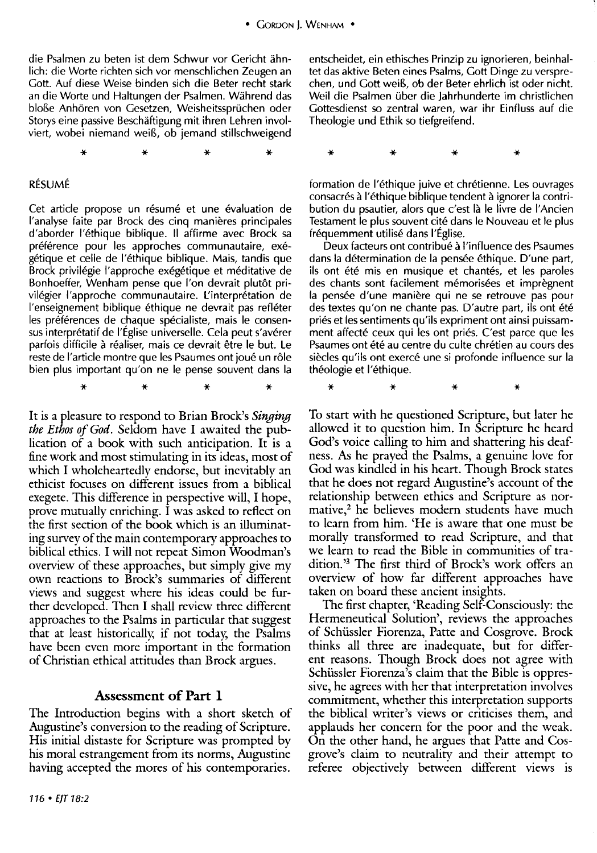die Psalmen zu beten ist dem Schwur vor Gericht ahnlich: die Worte richten sich vor menschlichen Zeugen an Gott. Auf diese Weise binden sich die Beter recht stark an die Worte und Haltungen der Psalmen. Wahrend das bloGe Anhoren von Gesetzen, Weisheitsspruchen oder Storys eine passive Beschaftigung mit ihren Lehren involviert, wobei niemand weiG, ob jemand stillschweigend

\* \* \* \*

**RÉSUMÉ** 

Cet article propose un résumé et une évaluation de !'analyse faite par Brock des cinq manieres principales d'aborder l'ethique biblique. 11 affirme avec Brock sa préférence pour les approches communautaire, exégetique et celle de l'ethique biblique. Mais, tandis que Brock privilégie l'approche exégétique et méditative de Bonhoeffer, Wenham pense que l'on devrait plutôt privilégier l'approche communautaire. L'interprétation de l'enseignement biblique éthique ne devrait pas refléter les préférences de chaque spécialiste, mais le consensus interpretatif de I'Eglise universelle. Cela peut s'averer parfois difficile a realiser, mais ce devrait etre le but. Le reste de !'article montre que les Psaumes ont joue un role bien plus important qu'on ne le pense souvent dans la

\* \* \* \*

It is a pleasure to respond to Brian Brock's *Singing the Ethos of God.* Seldom have I awaited the publication of a book with such anticipation. It is a fine work and most stimulating in its ideas, most of which I wholeheartedly endorse, but inevitably an ethicist focuses on different issues from a biblical exegete. This difference in perspective will, I hope, prove mutually enriching. I was asked to reflect on the first section of the book which is an illuminating survey of the main contemporary approaches to biblical ethics. I will not repeat Simon Woodman's overview of these approaches, but simply give my own reactions to Brock's summaries of different views and suggest where his ideas could be further developed. Then I shall review three different approaches to the Psalms in particular that suggest that at least historically, if not today, the Psalms have been even more important in the formation of Christian ethical attitudes than Brock argues.

## **Assessment of Part l**

The Introduction begins with a short sketch of Augustine's conversion to the reading of Scripture. His initial distaste for Scripture was prompted by his moral estrangement from its norms, Augustine having accepted the mores of his contemporaries.

 $116 • EJT18:2$ 

entscheidet, ein ethisches Prinzip zu ignorieren, beinhaltet das aktive Beten eines Psalms, Gott Dinge zu versprechen, und Gott weiG, ob der Beter ehrlich ist oder nicht. Weil die Psalmen über die Jahrhunderte im christlichen Gottesdienst so zentral waren, war ihr Einfluss auf die Theologie und Ethik so tiefgreifend.

\* \* \* \*

formation de l'éthique juive et chrétienne. Les ouvrages consacrés à l'éthique biblique tendent à ignorer la contribution du psautier, alors que c'est la le livre de I' Ancien Testament le plus souvent cite dans le Nouveau et le plus frequemment utilise dans I'Eglise.

Deux facteurs ont contribué à l'influence des Psaumes dans la détermination de la pensée éthique. D'une part, ils ont été mis en musique et chantés, et les paroles des chants sont facilement mémorisées et imprègnent la pensée d'une manière qui ne se retrouve pas pour des textes qu'on ne chante pas. D'autre part, ils ont été priés et les sentiments qu'ils expriment ont ainsi puissamment affecté ceux qui les ont priés. C'est parce que les Psaumes ont été au centre du culte chrétien au cours des siècles qu'ils ont exercé une si profonde influence sur la theologie et l'ethique.

\* \* \* \*

To start with he questioned Scripture, but later he allowed it to question him. In Scripture he heard God's voice calling to him and shattering his deafness. As he prayed the Psalms, a genuine love for God was kindled in his heart. Though Brock states that he does not regard Augustine's account of the relationship between ethics and Scripture as normative,<sup>2</sup> he believes modern students have much to learn from him. 'He is aware that one must be morally transformed to read Scripture, and that we learn to read the Bible in communities of tradition.'3 The first third of Brock's work offers an overview of how far different approaches have taken on board these ancient insights.

The first chapter, 'Reading Self-Consciously: the Hermeneutical Solution', reviews the approaches of Schiissler Fiorenza, Patte and Cosgrove. Brock thinks all three are inadequate, but for different reasons. Though Brock does not agree with Schiissler Fiorenza's claim that the Bible is oppressive, he agrees with her that interpretation involves commitment, whether this interpretation supports the biblical writer's views or criticises them, and applauds her concern for the poor and the weak. On the other hand, he argues that Patte and Cosgrove's claim to neutrality and their attempt to referee objectively between different views is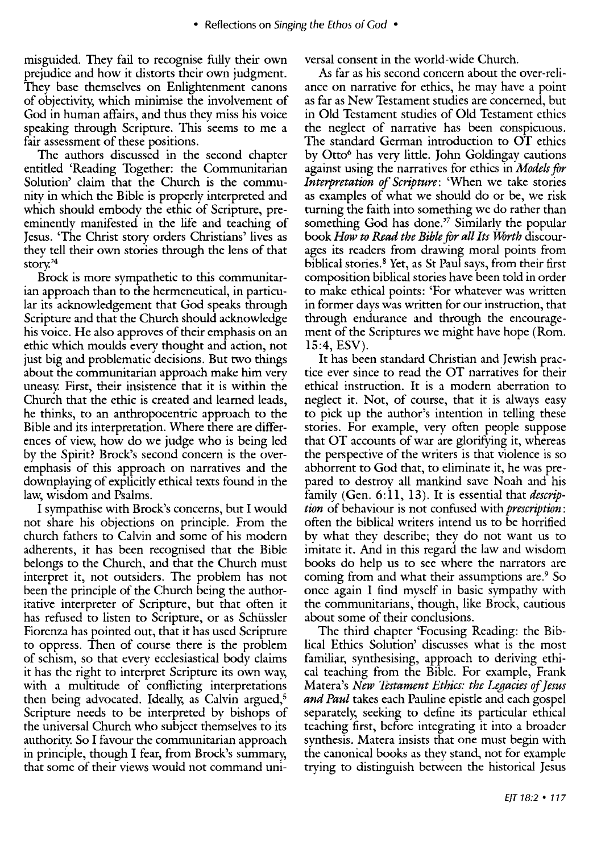misguided. They fail to recognise fully their own prejudice and how it distorts their own judgment. They base themselves on Enlightenment canons of objectivity, which minimise the involvement of God in human affairs, and thus they miss his voice speaking through Scripture. This seems to me a fair assessment of these positions.

The authors discussed in the second chapter entitled 'Reading Together: the Communitarian Solution' claim that the Church is the community in which the Bible is properly interpreted and which should embody the ethic of Scripture, preeminently manifested in the life and teaching of Jesus. 'The Christ story orders Christians' lives as they tell their own stories through the lens of that story.'4

Brock is more sympathetic to this communitarian approach than to the hermeneutical, in particular its acknowledgement that God speaks through Scripture and that the Church should acknowledge his voice. He also approves of their emphasis on an ethic which moulds every thought and action, not just big and problematic decisions. But two things about the communitarian approach make him very uneasy. First, their insistence that it is within the Church that the ethic is created and learned leads, he thinks, to an anthropocentric approach to the Bible and its interpretation. Where there are differences of view, how do we judge who is being led by the Spirit? Brock's second concern is the overemphasis of this approach on narratives and the down playing of explicitly ethical texts found in the law, wisdom and Psalms.

I sympathise with Brock's concerns, but I would not share his objections on principle. From the church fathers to Calvin and some of his modern adherents, it has been recognised that the Bible belongs to the Church, and that the Church must interpret it, not outsiders. The problem has not been the principle of the Church being the authoritative interpreter of Scripture, but that often it has refused to listen to Scripture, or as Schiissler Fiorenza has pointed out, that it has used Scripture to oppress. Then of course there is the problem of schism, so that every ecclesiastical body claims it has the right to interpret Scripture its own way, with a multitude of conflicting interpretations then being advocated. Ideally, as Calvin argued,<sup>5</sup> Scripture needs to be interpreted by bishops of the universal Church who subject themselves to its authority. So I favour the communitarian approach in principle, though I fear, from Brock's summary, that some of their views would not command universa! consent in the world-wide Church.

As far as his second concern about the over-reliance on narrative for ethics, he may have a point as far as New Testament studies are concerned, but in Old Testament studies of Old Testament ethics the neglect of narrative has been conspicuous. The standard German introduction to OT ethics by Otto<sup>6</sup> has very little. John Goldingay cautions against using the narratives for ethics in *Models for Interpretation of Scripture:* 'When we take stories as examples of what we should do or be, we risk turning the faith into something we do rather than something God has done.<sup>37</sup> Similarly the popular book *How to Read the Bible for all Its Wwth* discourages its readers from drawing moral points from biblical stories.8 Yet, as St Paul says, from their first composition biblical stories have been told in order to make ethical points: 'For whatever was written in former davs was written for our instruction, that through endurance and through the encouragement of the Scriptures we might have hope (Rom. 15:4, ESV).

It has been standard Christian and Jewish practice ever since to read the OT narratives for their ethical instruction. It is a modern aberration to neglect it. Not, of course, that it is always easy to pick up the author's intention in telling these stories. For example, very often people suppose that OT accounts of war are glorifying it, whereas the perspective of the writers is that violence is so abhorrent to God that, to eliminate it, he was prepared to destroy all mankind save Noah and his family (Gen. 6:11, 13). It is essential that *description* of behaviour is not confused with *prescription:*  often the biblical writers intend us to be horrified by what they describe; they do not want us to imitate it. And in this regard the law and wisdom books do help us to see where the narrators are coming from and what their assumptions are.<sup>9</sup> So once again I find myself in basic sympathy with the communitarians, though, like Brock, cautious about some of their conclusions.

The third chapter 'Focusing Reading: the Biblical Ethics Solution' discusses what is the most familiar, synthesising, approach to deriving ethical teaching from the Bible. For example, Frank Matera's *New Testament Ethics: the Legacies of Jesus and Paul* takes each Pauline epistle and each gospel separately, seeking to define its particular ethical teaching first, before integrating it into a broader synthesis. Matera insists that one must begin with the canonical books as they stand, not for example trying to distinguish between the historical Jesus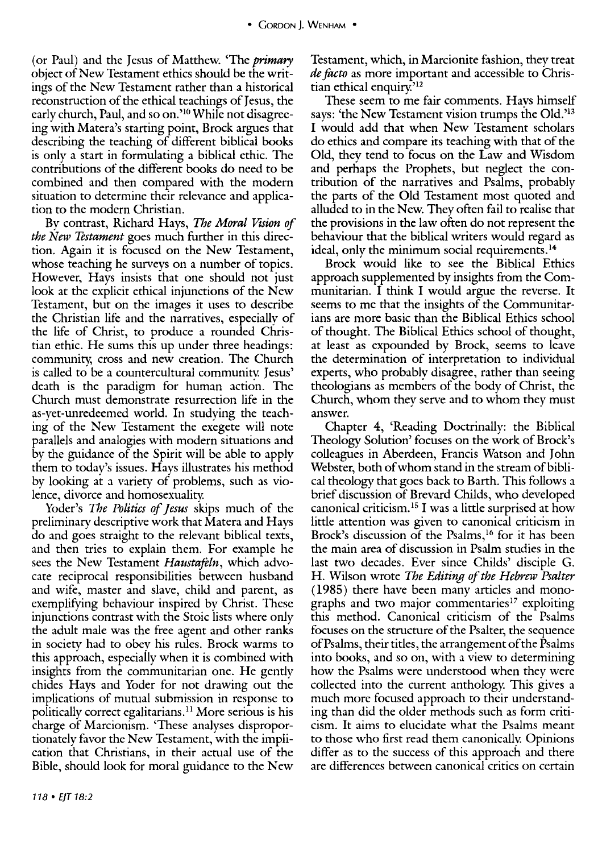#### • GORDON J. WENHAM •

(or Paul) and the Jesus of Matthew. 'The *primary*  object of New Testament ethics should be the writings of the New Testament rather than a historical reconstruction of the ethical teachings of Jesus, the early church, Paul, and so on. ' 10 While not disagreeing with Matera's starting point, Brock argues that describing the teaching of different biblical books is only a start in formulating a biblical ethic. The contributions of the different books do need to be combined and then compared with the modern situation to determine their relevance and application to the modern Christian.

By contrast, Richard Hays, *The Moral Vzsion of the New Testament* goes much further in this direction. Again it is focused on the New Testament, whose teaching he surveys on a number of topics. However, Hays insists that one should not just look at the explicit ethical injunctions of the New Testament, but on the images it uses to describe the Christian life and the narratives, especially of the life of Christ, to produce a rounded Christian ethic. He sums this up under three headings: community, cross and new creation. The Church is called to be a countercultural communitv. Jesus' death is the paradigm for human action. The Church must demonstrate resurrection life in the as-yet-unredeemed world. In studying the teaching of the New Testament the exegete will note parallels and analogies with modern situations and by the guidance of the Spirit will be able to apply them to today's issues. Hays illustrates his method by looking at a variety of problems, such as violence, divorce and homosexuality.

Yoder's *The Politics of Jesus* skips much of the preliminary descriptive work that Matera and Hays do and goes straight to the relevant biblical texts, and then tries to explain them. For example he sees the New Testament *Haustafeln,* which advocate reciprocal responsibilities between husband and wife, master and slave, child and parent, as exemplifYing behaviour inspired by Christ. These injunctions contrast with the Stoic lists where only the adult male was the free agent and other ranks in society had to obey his rules. Brock warms to this approach, especially when it is combined with insights from the communitarian one. He gently chides Hays and Yoder for not drawing out the implications of mutual submission in response to politically correct egalitarians.<sup>11</sup> More serious is his charge of Marcionism. 'These analyses disproportionately favor the New Testament, with the implication that Christians, in their actual use of the Bible, should look for moral guidance to the New

Testament, which, in Marcionite fashion, they treat *de focto* as more important and accessible to Christian ethical enquiry. $v^{12}$ 

These seem to me fair comments. Havs himself says: 'the New Testament vision trumps the Old.'13 I would add that when New Testament scholars do ethics and compare its teaching with that of the Old, they tend to focus on the Law and Wisdom and perhaps the Prophets, but neglect the contribution of the narratives and Psalms, probably the parts of the Old Testament most quoted and alluded to in the New. They often fail to realise that the provisions in the law often do not represent the behaviour that the biblical writers would regard as ideal, only the minimum social requirements.<sup>14</sup>

Brock would like to see the Biblical Ethics approach supplemented by insights from the Communitarian. I think I would argue the reverse. It seems to me that the insights of the Communitarians are more basic than the Biblical Ethics school of thought. The Biblical Ethics school of thought, at least as expounded by Brock, seems to leave the determination of interpretation to individual experts, who probably disagree, rather than seeing theologians as members of the body of Christ, the Church, whom they serve and to whom they must answer.

Chapter 4, 'Reading Doctrinally: the Biblical Theology Solution' focuses on the work of Brock's colleagues in Aberdeen, Francis Watson and John Webster, both of whom stand in the stream of biblical theology that goes back to Barth. This follows a brief discussion of Brevard Childs, who developed canonical criticism. 15 I was a little surprised at how little attention was given to canonical criticism in Brock's discussion of the Psalms, 16 for it has been the main area of discussion in Psalm studies in the last two decades. Ever since Childs' disciple G. H. Wilson wrote *The Editing of the Hebrew Psalter*  ( 1985) there have been many articles and monographs and two major commentaries<sup>17</sup> exploiting this method. Canonical criticism of the Psalms focuses on the structure of the Psalter, the sequence ofPsalms, their titles, the arrangement of the Psalms into books, and so on, with a view to determining how the Psalms were understood when they were collected into the current anthology. This gives a much more focused approach to their understanding than did the older methods such as form criticism. It aims to elucidate what the Psalms meant to those who first read them canonically. Opinions differ as to the success of this approach and there are differences between canonical critics on certain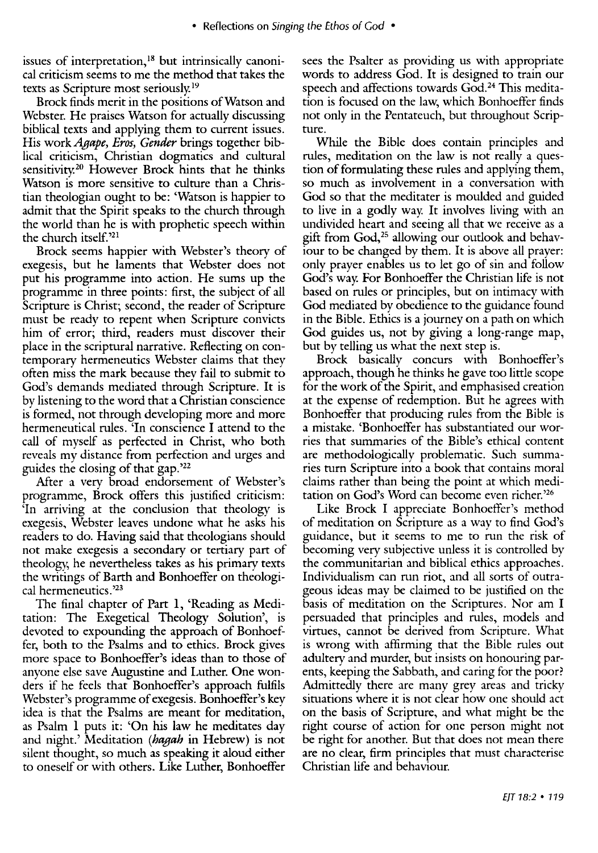issues of interpretation, 18 but intrinsically canonical criticism seems to me the method that takes the texts as Scripture most seriously. <sup>19</sup>

Brock finds merit in the positions of Watson and Webster. He praises Watson for actually discussing biblical texts and applying them to current issues. His work *Agape, Eras, Gender* brings together biblical criticism, Christian dogmatics and cultural sensitivity.<sup>20</sup> However Brock hints that he thinks Watson is more sensitive to culture than a Christian theologian ought to be: 'Watson is happier to admit that the Spirit speaks to the church through the world than he is with prophetic speech within the church itself.'<sup>21</sup>

Brock seems happier with Webster's theory of exegesis, but he laments that Webster does not put his programme into action. He sums up the programme in three points: first, the subject of all Scripture is Christ; second, the reader of Scripture must be ready to repent when Scripture convicts him of error; third, readers must discover their place in the scriptural narrative. Reflecting on contemporary hermeneutics Webster claims that they often miss the mark because thev fail to submit to God's demands mediated through Scripture. It is by listening to the word that a Christian conscience is formed, not through developing more and more hermeneutical rules. 'In conscience I attend to the call of myself as perfected in Christ, who both reveals my distance from perfection and urges and guides the closing of that gap. ' 22

After a very broad endorsement of Webster's programme, Brock offers this justified criticism: 'In arriving at the conclusion that theology is exegesis, Webster leaves undone what he asks his readers to do. Having said that theologians should not make exegesis a secondary or tertiary part of theology, he nevertheless takes as his primary texts the writings of Barth and Bonhoeffer on theological hermeneutics.'23

The final chapter of Part 1, 'Reading as Meditation: The Exegetical Theology Solution', is devoted to expounding the approach of Bonhoeffer, both to the Psalms and to ethics. Brock gives more space to Bonhoeffer's ideas than to those of anyone else save Augustine and Luther. One wonders if he feels that Bonhoeffer's approach fulfils Webster's programme of exegesis. Bonhoeffer's key idea is that the Psalms are meant for meditation, as Psalm 1 puts it: 'On his law he meditates day and night.' Meditation *(hagah* in Hebrew) is not silent thought, so much as speaking it aloud either to oneself or with others. Like Luther, Bonhoeffer

sees the Psalter as providing us with appropriate words to address God. It is designed to train our speech and affections towards God.<sup>24</sup> This meditation is focused on the law, which Bonhoeffer finds not only in the Pentateuch, but throughout Scripture.

While the Bible does contain principles and rules, meditation on the law is not really a question of formulating these rules and applying them, so much as involvement in a conversation with God so that the meditater is moulded and guided to live in a godly way. It involves living with an undivided heart and seeing all that we receive as a gift from God,<sup>25</sup> allowing our outlook and behaviour to be changed by them. It is above all prayer: only prayer enables us to let go of sin and follow God's way. For Bonhoeffer the Christian life is not based on rules or principles, but on intimacy with God mediated by obedience to the guidance found in the Bible. Ethics is a journey on a path on which God guides us, not by giving a long-range map, but by telling us what the next step is.

Brock basically concurs with Bonhoeffer's approach, though he thinks he gave too little scope for the work of the Spirit, and emphasised creation at the expense of redemption. But he agrees with Bonhoeffer that producing rules from the Bible is a mistake. 'BonhoetTer has substantiated our worries that summaries of the Bible's ethical content are methodologically problematic. Such summaries turn Scripture into a book that contains moral claims rather than being the point at which meditation on God's Word can become even richer.'26

Like Brock I appreciate Bonhoeffer's method of meditation on Scripture as a way to find God's guidance, but it seems to me to run the risk of becoming very subjective unless it is controlled by the communitarian and biblical ethics approaches. Individualism can run riot, and all sorts of outrageous ideas may be claimed to be justified on the basis of meditation on the Scriptures. Nor am I persuaded that principles and rules, models and virtues, cannot be derived from Scripture. What is wrong with affirming that the Bible rules out adultery and murder, but insists on honouring parents, keeping the Sabbath, and caring for the poor? Admittedly there are many grey areas and tricky situations where it is not clear how one should act on the basis of Scripture, and what might be the right course of action for one person might not be right for another. But that does not mean there are no clear, firm principles that must characterise Christian life and behaviour.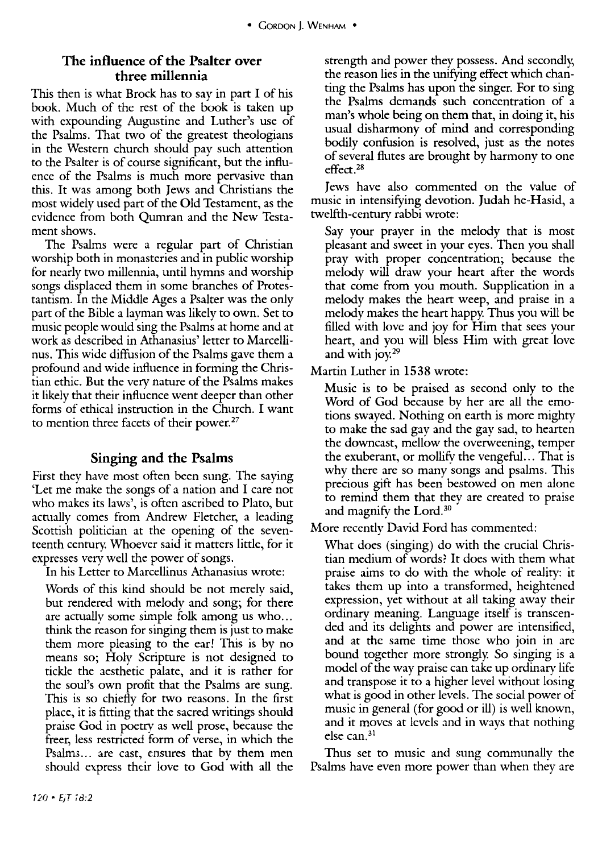## **The influence of the Psalter over three millennia**

This then is what Brock has to say in part I of his book. Much of the rest of the book is taken up with expounding Augustine and Luther's use of the Psalms. That two of the greatest theologians in the Western church should pay such attention to the Psalter is of course significant, but the influence of the Psalms is much more pervasive than this. It was among both Jews and Christians the most widely used part of the Old Testament, as the evidence from both Qumran and the New Testament shows.

The Psalms were a regular part of Christian worship both in monasteries and in public worship for nearly two millennia, until hymns and worship songs displaced them in some branches of Protestantism. In the Middle Ages a Psalter was the only part of the Bible a layman was likely to own. Set to music people would sing the Psalms at home and at work as described in Athanasius' letter to Marcellinus. This wide diffusion of the Psalms gave them a profound and wide influence in forming the Christian ethic. But the very nature of the Psalms makes it likely that their influence went deeper than other forms of ethical instruction in the Church. I want to mention three facets of their power.<sup>27</sup>

# **Singing and the Psalms**

First they have most often been sung. The saying 'Let me make the songs of a nation and I care not who makes its laws', is often ascribed to Plato, but actually comes from Andrew Fletcher, a leading Scottish politician at the opening of the seventeenth century. Whoever said it matters little, for it expresses *very* well the power of songs.

In his Letter to Marcellinus Athanasius wrote:

Words of this kind should be not merely said, but rendered with melody and song; for there are actually some simple folk among us who... think the reason for singing them is just to make them more pleasing to the ear! This is by no means so; Holy Scripture is not designed to tickle the aesthetic palate, and it is rather for the soul's own profit that the Psalms are sung. This is so chiefly for two reasons. In the first place, it is fitting that the sacred writings should praise God in poetry as well prose, because the freer, less restricted form of verse, in which the Psalms... are cast, ensures that by them men should express their love to God with all the strength and power they possess. And secondly, the reason lies in the unifying effect which chanting the Psalms has upon the singer. For to sing the Psalms demands such concentration of a man's whole being on them that, in doing it, his usual disharmony of mind and corresponding bodily confusion is resolved, just as the notes of several flutes are brought by harmony to one effect.28

Jews have also commented on the value of music in intensifying devotion. Judah he-Hasid, a twelfth-century rabbi wrote:

Say your prayer in the melody that is most pleasant and sweet in your eyes. Then you shall pray with proper concentration; because the melody will draw your heart after the words that come from you mouth. Supplication in a melody makes the heart weep, and praise in a melody makes the heart happy. Thus you will be filled with love and joy for Him that sees your heart, and you will bless Him with great love and with  $j$ oy.<sup>29</sup>

Martin Luther in 1538 wrote:

Music is to be praised as second only to the Word of God because by her are all the emotions swayed. Nothing on earth is more mighty to make the sad gay and the gay sad, to hearten the downcast, mellow the overweening, temper the exuberant, or mollifY the vengeful. .. That is why there are so many songs and psalms. This precious gift has been bestowed on men alone to remind them that they are created to praise and magnify the Lord.<sup>30</sup>

More recently David Ford has commented:

What does (singing) do with the crucial Christian medium of words? It does with them what praise aims to do with the whole of reality: it takes them up into a transformed, heightened expression, yet without at all taking away their ordinary meaning. Language itself is transcended and its delights and power are intensified, and at the same time those who join in are bound together more strongly. So singing is a model of the way praise can take up ordinary life and transpose it to a higher level without losing what is good in other levels. The social power of music in general (for good or ill) is well known, and it moves at levels and in ways that nothing else can.<sup>31</sup>

Thus set to music and sung communally the Psalms have even more power than when they are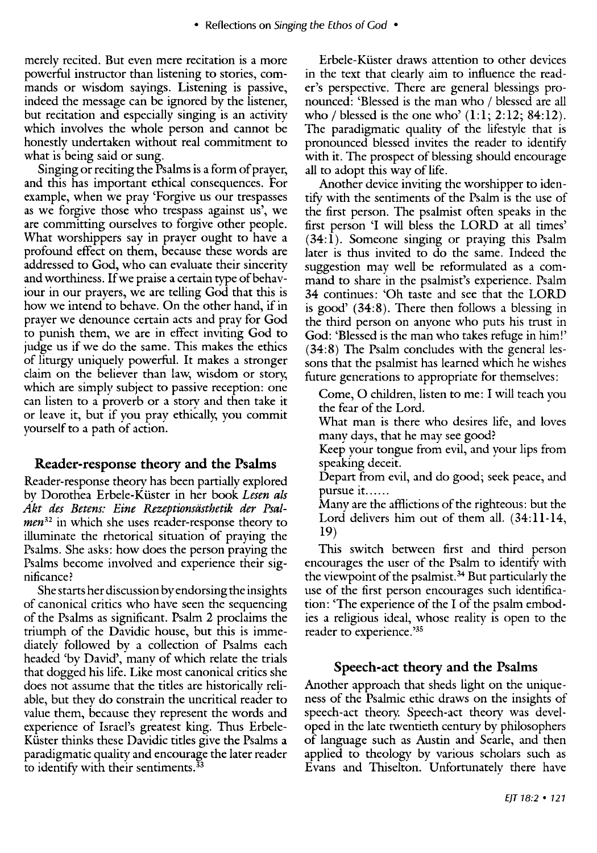merely recited. But even mere recitation is a more powerful instructor than listening to stories, commands or wisdom sayings. Listening is passive, indeed the message can be ignored by the listener, but recitation and especially singing is an activity which involves the whole person and cannot be honestly undertaken without real commitment to what is being said or sung.

Singing or reciting the Psalms is a form of prayer, and this has important ethical consequences. For example, when we pray 'Forgive us our trespasses as we forgive those who trespass against us', we are committing ourselves to forgive other people. What worshippers say in prayer ought to have a profound effect on them, because these words are addressed to God, who can evaluate their sincerity and worthiness. If we praise a certain type of behaviour in our prayers, we are telling God that this is how we intend to behave. On the other hand, if in prayer we denounce certain acts and pray for God to punish them, we are in effect inviting God to judge us if we do the same. This makes the ethics of liturgy uniquely powerful. It makes a stronger claim on the believer than law, wisdom or storv, which are simply subject to passive reception: one can listen to a proverb or a story and then take it or leave it, but if you pray ethically; you commit yourself to a path of action.

## Reader-response theory and the Psalms

Reader-response theory has been partially explored by Dorothea Erbele-Klister in her book *Lesen als Akt des Betens: Eine Rczeptionsasthetik der Psalmen*<sup>32</sup> in which she uses reader-response theory to illuminate the rhetorical situation of praying the Psalms. She asks: how does the person praying the Psalms become involved and experience their significance?

She starts her discussion by endorsing the insights of canonical critics who have seen the sequencing of the Psalms as significant. Psalm 2 proclaims the triumph of the Davidic house, but this is immediately followed by a collection of Psalms each headed 'by David', many of which relate the trials that dogged his life. Like most canonical critics she does not assume that the titles are historically reliable, but they do constrain the uncritical reader to value them, because they represent the words and experience of Israel's greatest king. Thus Erbele-Küster thinks these Davidic titles give the Psalms a paradigmatic quality and encourage the later reader to identify with their sentiments.<sup>33</sup>

Erbele-Klister draws attention to other devices in the text that clearly aim to influence the reader's perspective. There are general blessings pronounced: 'Blessed is the man who / blessed are all who / blessed is the one who'  $(1:1; 2:12; 84:12)$ . The paradigmatic quality of the lifestyle that is pronounced blessed invites the reader to identify with it. The prospect of blessing should encourage all to adopt this way of life.

Another device inviting the worshipper to identifY with the sentiments of the Psalm is the use of the first person. The psalmist often speaks in the first person 'I will bless the LORD at all times' (34:1). Someone singing or praying this Psalm later is thus invited to do the same. Indeed the suggestion may well be reformulated as a command to share in the psalmist's experience. Psalm 34 continues: 'Oh taste and see that the LORD is good' (34:8). There then follows a blessing in the third person on anyone who puts his trust in God: 'Blessed is the man who takes refuge in him!' (34:8) The Psalm concludes with the general lessons that the psalmist has learned which he wishes future generations to appropriate for themselves:

Come, 0 children, listen to me: I will teach you the fear of the Lord.

What man is there who desires life, and loves many days, that he may see good?

Keep your tongue from evil, and your lips from speaking deceit.

Depart from evil, and do good; seek peace, and pursue it......

Many are the afflictions of the righteous: but the Lord delivers him out of them all. (34:11-14, 19)

This switch between first and third person encourages the user of the Psalm to identify with the viewpoint of the psalmist.<sup>34</sup> But particularly the use of the first person encourages such identification: 'The experience of the I of the psalm embodies a religious ideal, whose reality is open to the reader to experience.'35

## Speech-act theory and the Psalms

Another approach that sheds light on the uniqueness of the Psalmic ethic draws on the insights of speech-act theory. Speech-act theory was developed in the late twentieth century by philosophers of language such as Austin and Searle, and then applied to theology by various scholars such as Evans and Thiselton. Unfortunately there have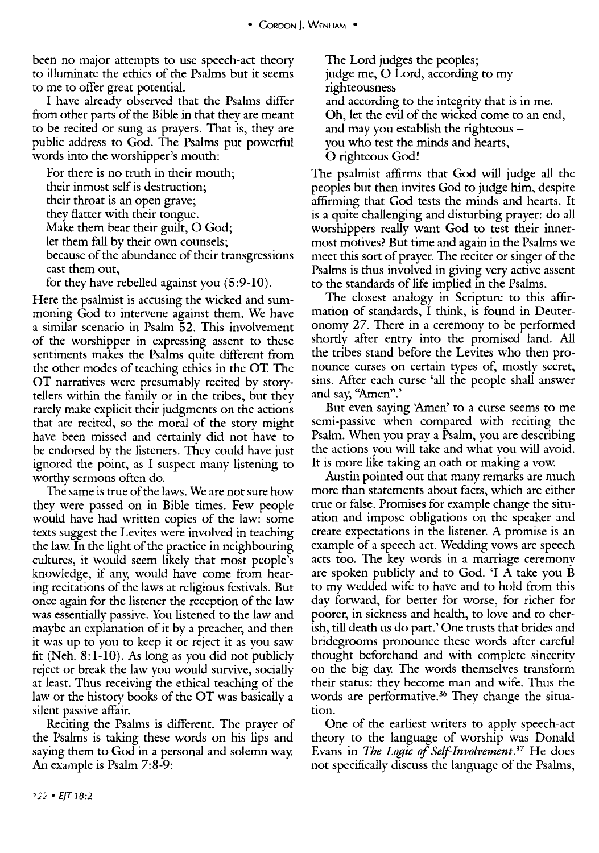been no major attempts to use speech-act theory to illuminate the ethics of the Psalms but it seems to me to offer great potential.

I have already observed that the Psalms differ from other parts of the Bible in that they are meant to be recited or sung as prayers. That is, they are public address to God. The Psalms put powerful words into the worshipper's mouth:

For there is no truth in their mouth; their inmost self is destruction; their throat is an open grave; they flatter with their tongue. Make them bear their guilt, O God; let them fall by their own counsels; because of the abundance of their transgressions cast them out, for they have rebelled against you (5:9-10).

Here the psalmist is accusing the wicked and summoning God to intervene against them. We have a similar scenario in Psalm 52. This involvement of the worshipper in expressing assent to these sentiments makes the Psalms quite different from the other modes of teaching ethics in the OT. The OT narratives were presumably recited by storytellers within the family or in the tribes, but they rarely make explicit their judgments on the actions that are recited, so the moral of the story might have been missed and certainly did not have to be endorsed by the listeners. They could have just ignored the point, as I suspect many listening to worthy sermons often do.

The same is true of the laws. We are not sure how they were passed on in Bible times. Few people would have had written copies of the law: some texts suggest the Levites were involved in teaching the law. In the light of the practice in neighbouring cultures, it would seem likely that most people's knowledge, if any, would have come from hearing recitations of the laws at religious festivals. But once again for the listener the reception of the law was essentially passive. You listened to the law and maybe an explanation of it by a preacher, and then it was up to you to keep it or reject it as you saw fit (Neh. 8:1-10). As long as you did not publicly reject or break the law you would survive, socially at least. Thus receiving the ethical teaching of the law or the history books of the OT was basically a silent passive affair.

Reciting the Psalms is different. The prayer of the Psalms is taking these words on his lips and saying them to God in a personal and solemn way. An example is Psalm 7:8-9:

The Lord judges the peoples; judge me, 0 Lord, according to my righteousness and according to the integrity that is in me. Oh, let the evil of the wicked come to an end, and may you establish the righteous – you who test the minds and hearts, 0 righteous God!

The psalmist affirms that God will judge all the peoples but then invites God to judge him, despite affirming that God tests the minds and hearts. It is a quite challenging and disturbing prayer: do all worshippers really want God to test their innermost motives? But time and again in the Psalms we meet this sort of prayer. The reciter or singer of the Psalms is thus involved in giving very active assent to the standards of life implied in the Psalms.

The closest analogy in Scripture to this affirmation of standards, I think, is found in Deuteronomy 27. There in a ceremony to be performed shortly after entry into the promised land. All the tribes stand before the Levites who then pronounce curses on certain types of, mostly secret, sins. Mter each curse 'all the people shall answer and say, "Amen".'

But even saying 'Amen' to a curse seems to me semi-passive when compared with reciting the Psalm. When you pray a Psalm, you are describing the actions you will take and what you will avoid. It is more like taking an oath or making a vow.

Austin pointed out that many remarks are much more than statements about facts, which are either true or false. Promises for example change the situation and impose obligations on the speaker and create expectations in the listener. A promise is an example of a speech act. Wedding vows are speech acts too. The key words in a marriage ceremony are spoken publicly and to God. 'I A take you B to my wedded wife to have and to hold from this dav forward, for better for worse, for richer for poorer, in sickness and health, to love and to cherish, till death us do part.' One trusts that brides and bridegrooms pronounce these words after careful thought beforehand and with complete sincerity on the big day. The words themselves transform their status: they become man and wife. Thus the words are performative.<sup>36</sup> They change the situation.

One of the earliest writers to apply speech-act theory to the language of worship was Donald Evans in *The Logic of Self-Involvement. <sup>37</sup>*He does not specifically discuss the language of the Psalms,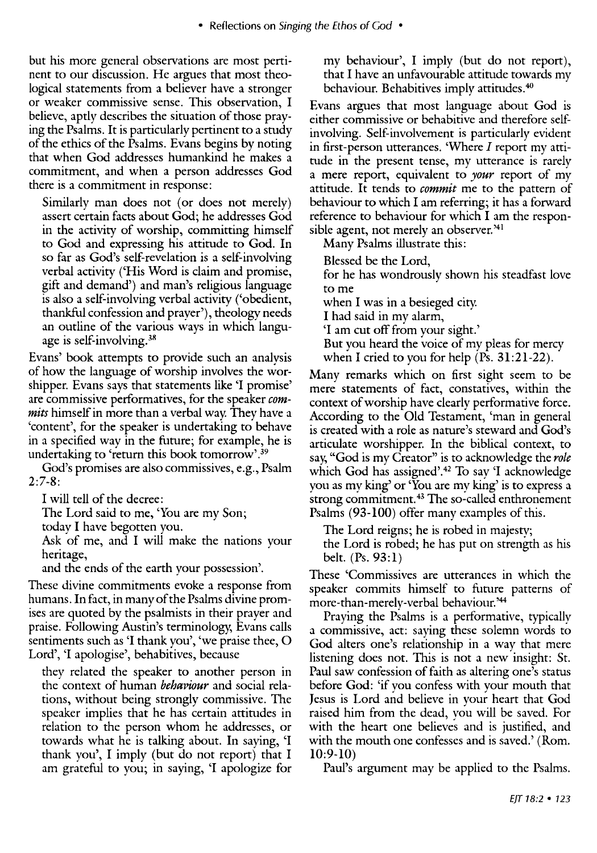but his more general observations are most pertinent to our discussion. He argues that most theological statements from a believer have a stronger or weaker commissive sense. This observation, I believe, aptly describes the situation of those praying the Psalms. It is particularly pertinent to a study of the ethics of the Psalms. Evans begins by noting that when God addresses humankind he makes a commitment, and when a person addresses God there is a commitment in response:

Similarly man does not (or does not merely) assert certain facts about God; he addresses God in the activity of worship, committing himself to God and expressing his attitude to God. In so far as God's self-revelation is a self-involving verbal activity ('His Word is claim and promise, gift and demand') and man's religious language is also a self-involving verbal activity ('obedient, thankful confession and prayer'), theology needs an outline of the various ways in which language is self-involving. 38

Evans' book attempts to provide such an analysis of how the language of worship involves the worshipper. Evans says that statements like 'I promise' are commissive performatives, for the speaker *commits* himself in more than a verbal way. They have a 'content', for the speaker is undertaking to behave in a specified way in the future; for example, he is undertaking to 'return this book tomorrow'. 39

God's promises are also commissives, e.g., Psalm  $2:7-8:$ 

I will tell of the decree:

The Lord said to me, 'You are my Son;

today I have begotten you.

Ask of me, and I will make the nations your heritage,

and the ends of the earth your possession'.

These divine commitments evoke a response from humans. In fact, in many of the Psalms divine promises are quoted by the psalmists in their prayer and praise. Following Austin's terminology, Evans calls sentiments such as 'I thank you', 'we praise thee, 0 Lord', 'I apologise', behabitives, because

they related the speaker to another person in the context of human *behaviour* and social relations, without being strongly commissive. The speaker implies that he has certain attitudes in relation to the person whom he addresses, or towards what he is talking about. In saying, 'I thank you', I imply (but do not report) that I am grateful to you; in saying, 'I apologize for my behaviour', I imply (but do not report), that I have an unfavourable attitude towards my behaviour. Behabitives imply attitudes.<sup>40</sup>

Evans argues that most language about God is either commissive or behabitive and therefore selfinvolving. Self-involvement is particularly evident in first-person utterances. 'Where  $I$  report my attitude in the present tense, my utterance is rarely a mere report, equivalent to *your* report of my attitude. It tends to *commit* me to the pattern of behaviour to which I am referring; it has a forward reference to behaviour for which I am the responsible agent, not merely an observer.<sup>241</sup>

Many Psalms illustrate this:

Blessed be the Lord,

for he has wondrously shown his steadfast love to me

when I was in a besieged city.

I had said in my alarm,

'I am cut off from your sight.'

But you heard the voice of my pleas for mercy when I cried to you for help (Ps. 31:21-22).

Many remarks which on first sight seem to be mere statements of fact, constatives, within the context of worship have clearly performative force. According to the Old Testament, 'man in general is created with a role as nature's steward and God's articulate worshipper. In the biblical context, to say, "God is my Creator" is to acknowledge the *role*  which God has assigned'.<sup>42</sup> To say 'I acknowledge you as my king' or 'You are my king' is to express a strong commitment.<sup>43</sup> The so-called enthronement Psalms (93-100) offer many examples of this.

The Lord reigns; he is robed in majesty;

the Lord is robed; he has put on strength as his belt. (Ps. 93:1)

These 'Commissives are utterances in which the speaker commits himself to future patterns of more-than-merely-verbal behaviour. ' 44

Praying the Psalms is a performative, typically a commissive, act: saying these solemn words to God alters one's relationship in a way that mere listening does not. This is not a new insight: St. Paul saw confession of faith as altering one's status before God: 'if vou confess with vour mouth that Jesus is Lord and believe in your heart that God raised him from the dead, you will be saved. For with the heart one believes and is justified, and with the mouth one confesses and is saved.' (Rom. 10:9-10)

Paul's argument may be applied to the Psalms.